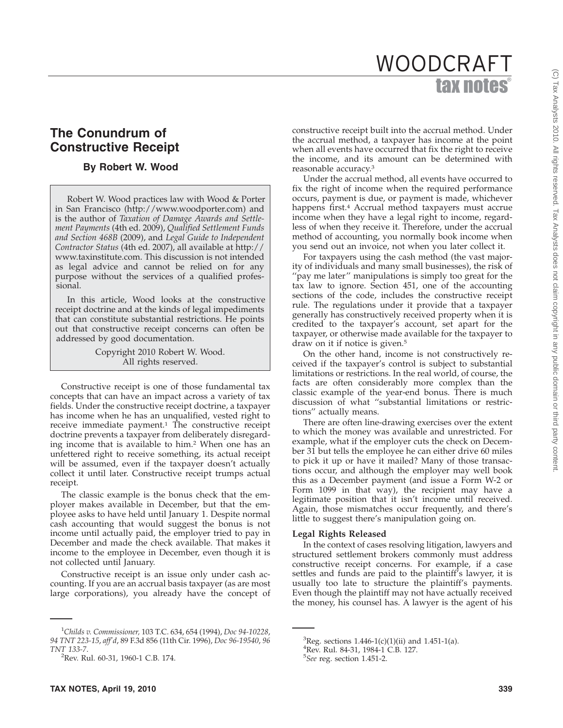# tax notes WOODCRAFT

## **The Conundrum of Constructive Receipt**

## **By Robert W. Wood**

Robert W. Wood practices law with Wood & Porter in San Francisco (http://www.woodporter.com) and is the author of *Taxation of Damage Awards and Settlement Payments* (4th ed. 2009), *Qualified Settlement Funds and Section 468B* (2009), and *Legal Guide to Independent Contractor Status* (4th ed. 2007), all available at http:// www.taxinstitute.com. This discussion is not intended as legal advice and cannot be relied on for any purpose without the services of a qualified professional.

In this article, Wood looks at the constructive receipt doctrine and at the kinds of legal impediments that can constitute substantial restrictions. He points out that constructive receipt concerns can often be addressed by good documentation.

> Copyright 2010 Robert W. Wood. All rights reserved.

Constructive receipt is one of those fundamental tax concepts that can have an impact across a variety of tax fields. Under the constructive receipt doctrine, a taxpayer has income when he has an unqualified, vested right to receive immediate payment.<sup>1</sup> The constructive receipt doctrine prevents a taxpayer from deliberately disregarding income that is available to him.2 When one has an unfettered right to receive something, its actual receipt will be assumed, even if the taxpayer doesn't actually collect it until later. Constructive receipt trumps actual receipt.

The classic example is the bonus check that the employer makes available in December, but that the employee asks to have held until January 1. Despite normal cash accounting that would suggest the bonus is not income until actually paid, the employer tried to pay in December and made the check available. That makes it income to the employee in December, even though it is not collected until January.

Constructive receipt is an issue only under cash accounting. If you are an accrual basis taxpayer (as are most large corporations), you already have the concept of

constructive receipt built into the accrual method. Under the accrual method, a taxpayer has income at the point when all events have occurred that fix the right to receive the income, and its amount can be determined with reasonable accuracy.3

Under the accrual method, all events have occurred to fix the right of income when the required performance occurs, payment is due, or payment is made, whichever happens first.4 Accrual method taxpayers must accrue income when they have a legal right to income, regardless of when they receive it. Therefore, under the accrual method of accounting, you normally book income when you send out an invoice, not when you later collect it.

For taxpayers using the cash method (the vast majority of individuals and many small businesses), the risk of ''pay me later'' manipulations is simply too great for the tax law to ignore. Section 451, one of the accounting sections of the code, includes the constructive receipt rule. The regulations under it provide that a taxpayer generally has constructively received property when it is credited to the taxpayer's account, set apart for the taxpayer, or otherwise made available for the taxpayer to draw on it if notice is given.<sup>5</sup>

On the other hand, income is not constructively received if the taxpayer's control is subject to substantial limitations or restrictions. In the real world, of course, the facts are often considerably more complex than the classic example of the year-end bonus. There is much discussion of what ''substantial limitations or restrictions'' actually means.

There are often line-drawing exercises over the extent to which the money was available and unrestricted. For example, what if the employer cuts the check on December 31 but tells the employee he can either drive 60 miles to pick it up or have it mailed? Many of those transactions occur, and although the employer may well book this as a December payment (and issue a Form W-2 or Form 1099 in that way), the recipient may have a legitimate position that it isn't income until received. Again, those mismatches occur frequently, and there's little to suggest there's manipulation going on.

#### **Legal Rights Released**

In the context of cases resolving litigation, lawyers and structured settlement brokers commonly must address constructive receipt concerns. For example, if a case settles and funds are paid to the plaintiff's lawyer, it is usually too late to structure the plaintiff's payments. Even though the plaintiff may not have actually received the money, his counsel has. A lawyer is the agent of his

<sup>1</sup> *Childs v. Commissioner,* 103 T.C. 634, 654 (1994), *Doc 94-10228*, *94 TNT 223-15*, *aff'd*, 89 F.3d 856 (11th Cir. 1996), *Doc 96-19540*, *96 TNT 133-7*. <sup>2</sup>

<sup>&</sup>lt;sup>2</sup>Rev. Rul. 60-31, 1960-1 C.B. 174.

 ${}^{3}$ Reg. sections 1.446-1(c)(1)(ii) and 1.451-1(a).

<sup>4</sup> Rev. Rul. 84-31, 1984-1 C.B. 127.

<sup>5</sup> *See* reg. section 1.451-2.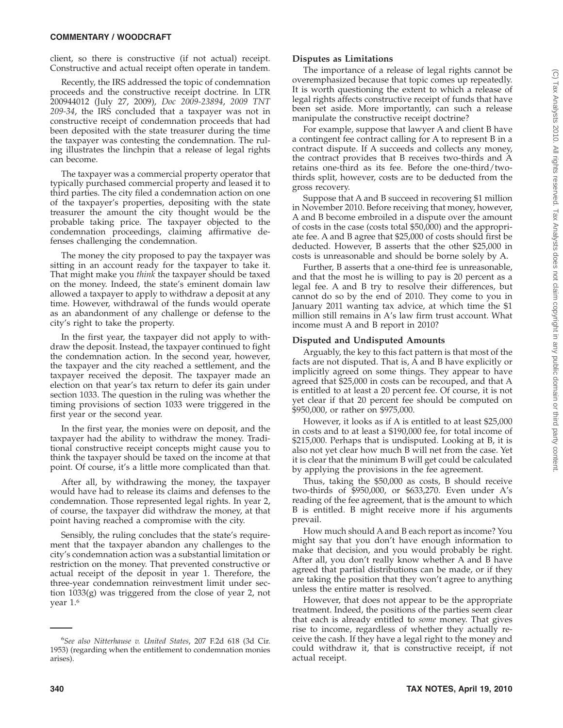#### **COMMENTARY / WOODCRAFT**

client, so there is constructive (if not actual) receipt. Constructive and actual receipt often operate in tandem.

Recently, the IRS addressed the topic of condemnation proceeds and the constructive receipt doctrine. In LTR 200944012 (July 27, 2009), *Doc 2009-23894*, *2009 TNT 209-34*, the IRS concluded that a taxpayer was not in constructive receipt of condemnation proceeds that had been deposited with the state treasurer during the time the taxpayer was contesting the condemnation. The ruling illustrates the linchpin that a release of legal rights can become.

The taxpayer was a commercial property operator that typically purchased commercial property and leased it to third parties. The city filed a condemnation action on one of the taxpayer's properties, depositing with the state treasurer the amount the city thought would be the probable taking price. The taxpayer objected to the condemnation proceedings, claiming affirmative defenses challenging the condemnation.

The money the city proposed to pay the taxpayer was sitting in an account ready for the taxpayer to take it. That might make you *think* the taxpayer should be taxed on the money. Indeed, the state's eminent domain law allowed a taxpayer to apply to withdraw a deposit at any time. However, withdrawal of the funds would operate as an abandonment of any challenge or defense to the city's right to take the property.

In the first year, the taxpayer did not apply to withdraw the deposit. Instead, the taxpayer continued to fight the condemnation action. In the second year, however, the taxpayer and the city reached a settlement, and the taxpayer received the deposit. The taxpayer made an election on that year's tax return to defer its gain under section 1033. The question in the ruling was whether the timing provisions of section 1033 were triggered in the first year or the second year.

In the first year, the monies were on deposit, and the taxpayer had the ability to withdraw the money. Traditional constructive receipt concepts might cause you to think the taxpayer should be taxed on the income at that point. Of course, it's a little more complicated than that.

After all, by withdrawing the money, the taxpayer would have had to release its claims and defenses to the condemnation. Those represented legal rights. In year 2, of course, the taxpayer did withdraw the money, at that point having reached a compromise with the city.

Sensibly, the ruling concludes that the state's requirement that the taxpayer abandon any challenges to the city's condemnation action was a substantial limitation or restriction on the money. That prevented constructive or actual receipt of the deposit in year 1. Therefore, the three-year condemnation reinvestment limit under section 1033(g) was triggered from the close of year 2, not year 1.6

#### **Disputes as Limitations**

The importance of a release of legal rights cannot be overemphasized because that topic comes up repeatedly. It is worth questioning the extent to which a release of legal rights affects constructive receipt of funds that have been set aside. More importantly, can such a release manipulate the constructive receipt doctrine?

For example, suppose that lawyer A and client B have a contingent fee contract calling for A to represent B in a contract dispute. If A succeeds and collects any money, the contract provides that B receives two-thirds and A retains one-third as its fee. Before the one-third/twothirds split, however, costs are to be deducted from the gross recovery.

Suppose that A and B succeed in recovering \$1 million in November 2010. Before receiving that money, however, A and B become embroiled in a dispute over the amount of costs in the case (costs total \$50,000) and the appropriate fee. A and B agree that \$25,000 of costs should first be deducted. However, B asserts that the other \$25,000 in costs is unreasonable and should be borne solely by A.

Further, B asserts that a one-third fee is unreasonable, and that the most he is willing to pay is 20 percent as a legal fee. A and B try to resolve their differences, but cannot do so by the end of 2010. They come to you in January 2011 wanting tax advice, at which time the \$1 million still remains in A's law firm trust account. What income must A and B report in 2010?

#### **Disputed and Undisputed Amounts**

Arguably, the key to this fact pattern is that most of the facts are not disputed. That is, A and B have explicitly or implicitly agreed on some things. They appear to have agreed that \$25,000 in costs can be recouped, and that A is entitled to at least a 20 percent fee. Of course, it is not yet clear if that 20 percent fee should be computed on \$950,000, or rather on \$975,000.

However, it looks as if A is entitled to at least \$25,000 in costs and to at least a \$190,000 fee, for total income of \$215,000. Perhaps that is undisputed. Looking at B, it is also not yet clear how much B will net from the case. Yet it is clear that the minimum B will get could be calculated by applying the provisions in the fee agreement.

Thus, taking the \$50,000 as costs, B should receive two-thirds of \$950,000, or \$633,270. Even under A's reading of the fee agreement, that is the amount to which B is entitled. B might receive more if his arguments prevail.

How much should A and B each report as income? You might say that you don't have enough information to make that decision, and you would probably be right. After all, you don't really know whether A and B have agreed that partial distributions can be made, or if they are taking the position that they won't agree to anything unless the entire matter is resolved.

However, that does not appear to be the appropriate treatment. Indeed, the positions of the parties seem clear that each is already entitled to *some* money. That gives rise to income, regardless of whether they actually receive the cash. If they have a legal right to the money and could withdraw it, that is constructive receipt, if not actual receipt.

<sup>6</sup> *See also Nitterhause v. United States*, 207 F.2d 618 (3d Cir. 1953) (regarding when the entitlement to condemnation monies arises).